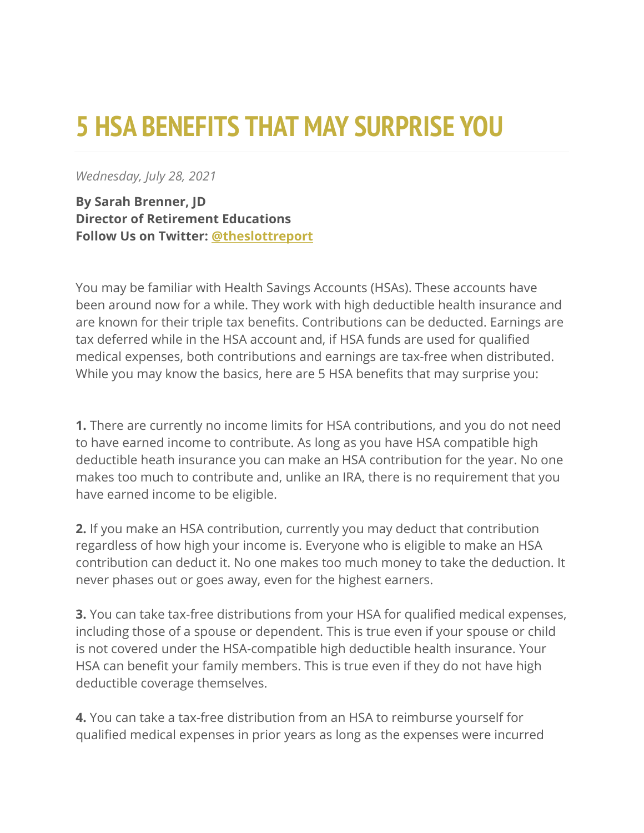## **5 HSA BENEFITS THAT MAY SURPRISE YOU**

*Wednesday, July 28, 2021*

**By Sarah Brenner, JD Director of Retirement Educations Follow Us on Twitter: [@theslottreport](https://twitter.com/theslottreport)**

You may be familiar with Health Savings Accounts (HSAs). These accounts have been around now for a while. They work with high deductible health insurance and are known for their triple tax benefits. Contributions can be deducted. Earnings are tax deferred while in the HSA account and, if HSA funds are used for qualified medical expenses, both contributions and earnings are tax-free when distributed. While you may know the basics, here are 5 HSA benefits that may surprise you:

**1.** There are currently no income limits for HSA contributions, and you do not need to have earned income to contribute. As long as you have HSA compatible high deductible heath insurance you can make an HSA contribution for the year. No one makes too much to contribute and, unlike an IRA, there is no requirement that you have earned income to be eligible.

**2.** If you make an HSA contribution, currently you may deduct that contribution regardless of how high your income is. Everyone who is eligible to make an HSA contribution can deduct it. No one makes too much money to take the deduction. It never phases out or goes away, even for the highest earners.

**3.** You can take tax-free distributions from your HSA for qualified medical expenses, including those of a spouse or dependent. This is true even if your spouse or child is not covered under the HSA-compatible high deductible health insurance. Your HSA can benefit your family members. This is true even if they do not have high deductible coverage themselves.

**4.** You can take a tax-free distribution from an HSA to reimburse yourself for qualified medical expenses in prior years as long as the expenses were incurred